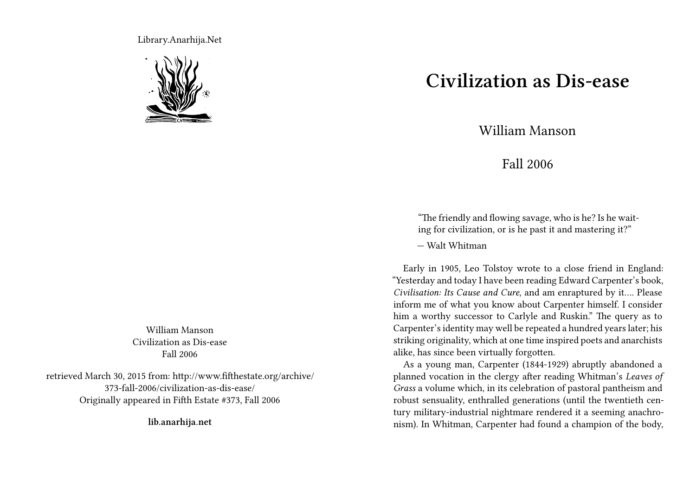Library.Anarhija.Net



William Manson Civilization as Dis-ease Fall 2006

retrieved March 30, 2015 from: http://www.fifthestate.org/archive/ 373-fall-2006/civilization-as-dis-ease/ Originally appeared in Fifth Estate #373, Fall 2006

**lib.anarhija.net**

## **Civilization as Dis-ease**

William Manson

Fall 2006

"The friendly and flowing savage, who is he? Is he waiting for civilization, or is he past it and mastering it?"

— Walt Whitman

Early in 1905, Leo Tolstoy wrote to a close friend in England: "Yesterday and today I have been reading Edward Carpenter's book, *Civilisation: Its Cause and Cure*, and am enraptured by it…. Please inform me of what you know about Carpenter himself. I consider him a worthy successor to Carlyle and Ruskin." The query as to Carpenter's identity may well be repeated a hundred years later; his striking originality, which at one time inspired poets and anarchists alike, has since been virtually forgotten.

As a young man, Carpenter (1844-1929) abruptly abandoned a planned vocation in the clergy after reading Whitman's *Leaves of Grass* a volume which, in its celebration of pastoral pantheism and robust sensuality, enthralled generations (until the twentieth century military-industrial nightmare rendered it a seeming anachronism). In Whitman, Carpenter had found a champion of the body,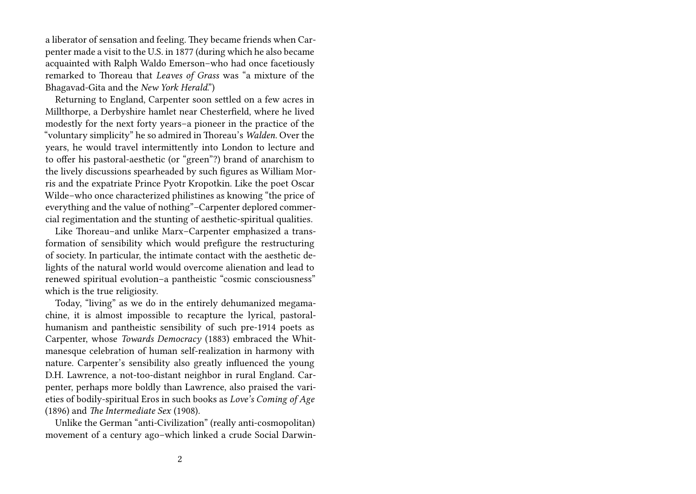a liberator of sensation and feeling. They became friends when Carpenter made a visit to the U.S. in 1877 (during which he also became acquainted with Ralph Waldo Emerson–who had once facetiously remarked to Thoreau that *Leaves of Grass* was "a mixture of the Bhagavad-Gita and the *New York Herald*.")

Returning to England, Carpenter soon settled on a few acres in Millthorpe, a Derbyshire hamlet near Chesterfield, where he lived modestly for the next forty years–a pioneer in the practice of the "voluntary simplicity" he so admired in Thoreau's *Walden*. Over the years, he would travel intermittently into London to lecture and to offer his pastoral-aesthetic (or "green"?) brand of anarchism to the lively discussions spearheaded by such figures as William Morris and the expatriate Prince Pyotr Kropotkin. Like the poet Oscar Wilde–who once characterized philistines as knowing "the price of everything and the value of nothing"–Carpenter deplored commercial regimentation and the stunting of aesthetic-spiritual qualities.

Like Thoreau–and unlike Marx–Carpenter emphasized a transformation of sensibility which would prefigure the restructuring of society. In particular, the intimate contact with the aesthetic delights of the natural world would overcome alienation and lead to renewed spiritual evolution–a pantheistic "cosmic consciousness" which is the true religiosity.

Today, "living" as we do in the entirely dehumanized megamachine, it is almost impossible to recapture the lyrical, pastoralhumanism and pantheistic sensibility of such pre-1914 poets as Carpenter, whose *Towards Democracy* (1883) embraced the Whitmanesque celebration of human self-realization in harmony with nature. Carpenter's sensibility also greatly influenced the young D.H. Lawrence, a not-too-distant neighbor in rural England. Carpenter, perhaps more boldly than Lawrence, also praised the varieties of bodily-spiritual Eros in such books as *Love's Coming of Age* (1896) and *The Intermediate Sex* (1908).

Unlike the German "anti-Civilization" (really anti-cosmopolitan) movement of a century ago–which linked a crude Social Darwin-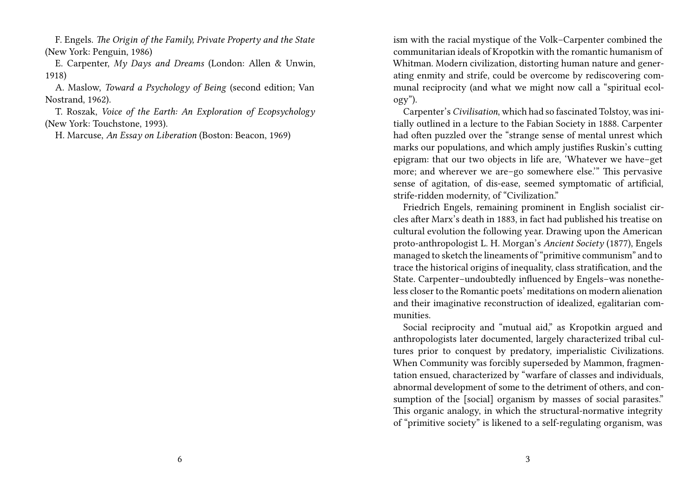F. Engels. *The Origin of the Family, Private Property and the State* (New York: Penguin, 1986)

E. Carpenter, *My Days and Dreams* (London: Allen & Unwin, 1918)

A. Maslow, *Toward a Psychology of Being* (second edition; Van Nostrand, 1962).

T. Roszak, *Voice of the Earth: An Exploration of Ecopsychology* (New York: Touchstone, 1993).

H. Marcuse, *An Essay on Liberation* (Boston: Beacon, 1969)

ism with the racial mystique of the Volk–Carpenter combined the communitarian ideals of Kropotkin with the romantic humanism of Whitman. Modern civilization, distorting human nature and generating enmity and strife, could be overcome by rediscovering communal reciprocity (and what we might now call a "spiritual ecology").

Carpenter's *Civilisation*, which had so fascinated Tolstoy, was initially outlined in a lecture to the Fabian Society in 1888. Carpenter had often puzzled over the "strange sense of mental unrest which marks our populations, and which amply justifies Ruskin's cutting epigram: that our two objects in life are, 'Whatever we have–get more; and wherever we are–go somewhere else.'" This pervasive sense of agitation, of dis-ease, seemed symptomatic of artificial, strife-ridden modernity, of "Civilization."

Friedrich Engels, remaining prominent in English socialist circles after Marx's death in 1883, in fact had published his treatise on cultural evolution the following year. Drawing upon the American proto-anthropologist L. H. Morgan's *Ancient Society* (1877), Engels managed to sketch the lineaments of "primitive communism" and to trace the historical origins of inequality, class stratification, and the State. Carpenter–undoubtedly influenced by Engels–was nonetheless closer to the Romantic poets' meditations on modern alienation and their imaginative reconstruction of idealized, egalitarian communities.

Social reciprocity and "mutual aid," as Kropotkin argued and anthropologists later documented, largely characterized tribal cultures prior to conquest by predatory, imperialistic Civilizations. When Community was forcibly superseded by Mammon, fragmentation ensued, characterized by "warfare of classes and individuals, abnormal development of some to the detriment of others, and consumption of the [social] organism by masses of social parasites." This organic analogy, in which the structural-normative integrity of "primitive society" is likened to a self-regulating organism, was